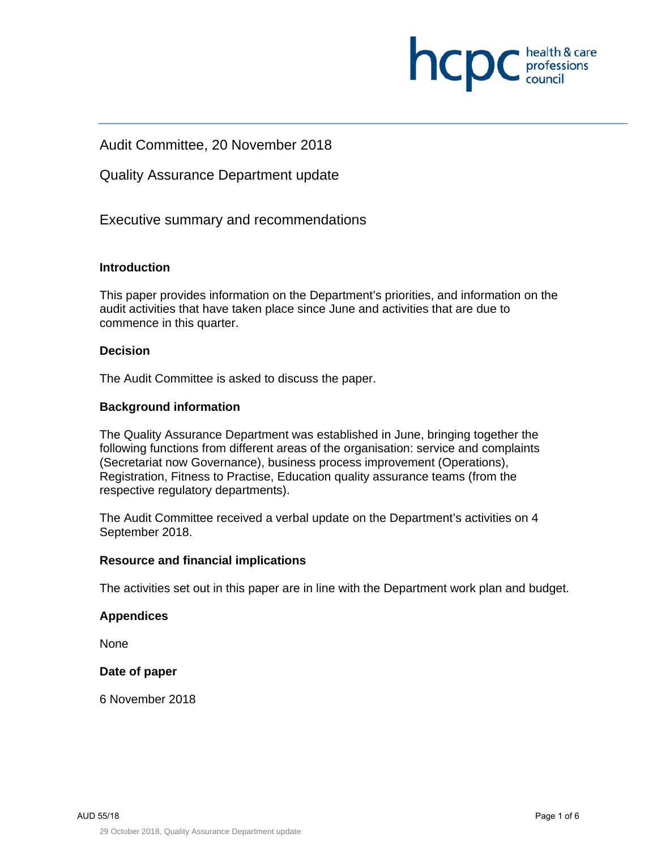

Audit Committee, 20 November 2018

Quality Assurance Department update

Executive summary and recommendations

#### **Introduction**

This paper provides information on the Department's priorities, and information on the audit activities that have taken place since June and activities that are due to commence in this quarter.

#### **Decision**

The Audit Committee is asked to discuss the paper.

#### **Background information**

The Quality Assurance Department was established in June, bringing together the following functions from different areas of the organisation: service and complaints (Secretariat now Governance), business process improvement (Operations), Registration, Fitness to Practise, Education quality assurance teams (from the respective regulatory departments).

The Audit Committee received a verbal update on the Department's activities on 4 September 2018.

#### **Resource and financial implications**

The activities set out in this paper are in line with the Department work plan and budget.

#### **Appendices**

None

#### **Date of paper**

6 November 2018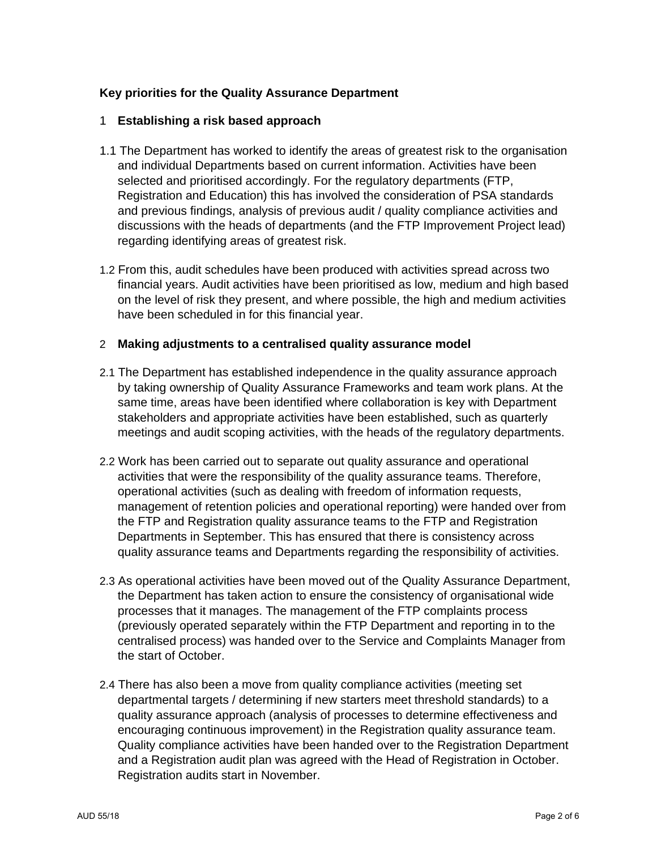## **Key priorities for the Quality Assurance Department**

#### 1 **Establishing a risk based approach**

- 1.1 The Department has worked to identify the areas of greatest risk to the organisation and individual Departments based on current information. Activities have been selected and prioritised accordingly. For the regulatory departments (FTP, Registration and Education) this has involved the consideration of PSA standards and previous findings, analysis of previous audit / quality compliance activities and discussions with the heads of departments (and the FTP Improvement Project lead) regarding identifying areas of greatest risk.
- 1.2 From this, audit schedules have been produced with activities spread across two financial years. Audit activities have been prioritised as low, medium and high based on the level of risk they present, and where possible, the high and medium activities have been scheduled in for this financial year.

#### 2 **Making adjustments to a centralised quality assurance model**

- 2.1 The Department has established independence in the quality assurance approach by taking ownership of Quality Assurance Frameworks and team work plans. At the same time, areas have been identified where collaboration is key with Department stakeholders and appropriate activities have been established, such as quarterly meetings and audit scoping activities, with the heads of the regulatory departments.
- 2.2 Work has been carried out to separate out quality assurance and operational activities that were the responsibility of the quality assurance teams. Therefore, operational activities (such as dealing with freedom of information requests, management of retention policies and operational reporting) were handed over from the FTP and Registration quality assurance teams to the FTP and Registration Departments in September. This has ensured that there is consistency across quality assurance teams and Departments regarding the responsibility of activities.
- 2.3 As operational activities have been moved out of the Quality Assurance Department, the Department has taken action to ensure the consistency of organisational wide processes that it manages. The management of the FTP complaints process (previously operated separately within the FTP Department and reporting in to the centralised process) was handed over to the Service and Complaints Manager from the start of October.
- 2.4 There has also been a move from quality compliance activities (meeting set departmental targets / determining if new starters meet threshold standards) to a quality assurance approach (analysis of processes to determine effectiveness and encouraging continuous improvement) in the Registration quality assurance team. Quality compliance activities have been handed over to the Registration Department and a Registration audit plan was agreed with the Head of Registration in October. Registration audits start in November.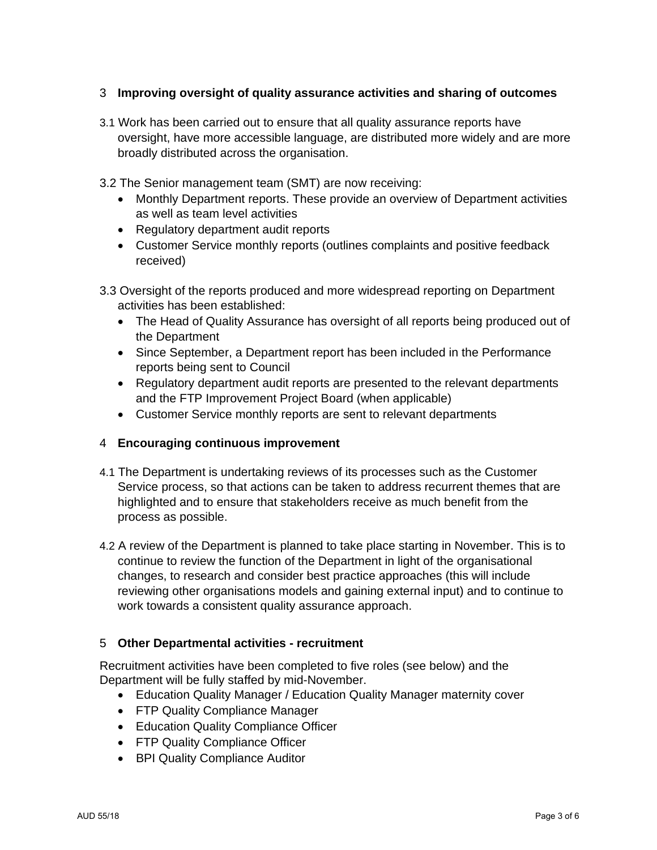## 3 **Improving oversight of quality assurance activities and sharing of outcomes**

- 3.1 Work has been carried out to ensure that all quality assurance reports have oversight, have more accessible language, are distributed more widely and are more broadly distributed across the organisation.
- 3.2 The Senior management team (SMT) are now receiving:
	- Monthly Department reports. These provide an overview of Department activities as well as team level activities
	- Regulatory department audit reports
	- Customer Service monthly reports (outlines complaints and positive feedback received)
- 3.3 Oversight of the reports produced and more widespread reporting on Department activities has been established:
	- The Head of Quality Assurance has oversight of all reports being produced out of the Department
	- Since September, a Department report has been included in the Performance reports being sent to Council
	- Regulatory department audit reports are presented to the relevant departments and the FTP Improvement Project Board (when applicable)
	- Customer Service monthly reports are sent to relevant departments

#### 4 **Encouraging continuous improvement**

- 4.1 The Department is undertaking reviews of its processes such as the Customer Service process, so that actions can be taken to address recurrent themes that are highlighted and to ensure that stakeholders receive as much benefit from the process as possible.
- 4.2 A review of the Department is planned to take place starting in November. This is to continue to review the function of the Department in light of the organisational changes, to research and consider best practice approaches (this will include reviewing other organisations models and gaining external input) and to continue to work towards a consistent quality assurance approach.

#### 5 **Other Departmental activities - recruitment**

Recruitment activities have been completed to five roles (see below) and the Department will be fully staffed by mid-November.

- Education Quality Manager / Education Quality Manager maternity cover
- FTP Quality Compliance Manager
- Education Quality Compliance Officer
- FTP Quality Compliance Officer
- BPI Quality Compliance Auditor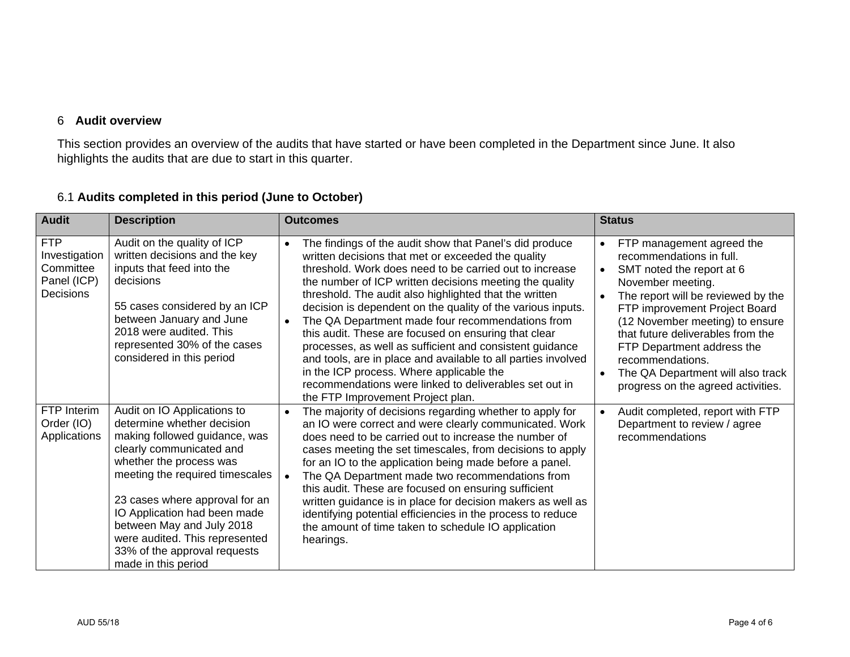## 6 **Audit overview**

This section provides an overview of the audits that have started or have been completed in the Department since June. It also highlights the audits that are due to start in this quarter.

| <b>Audit</b>                                                         | <b>Description</b>                                                                                                                                                                                                                                                                                                                                                           | <b>Outcomes</b>                                                                                                                                                                                                                                                                                                                                                                                                                                                                                                                                                                                                                                                                                                                                  | <b>Status</b>                                                                                                                                                                                                                                                                                                                                                                                                                           |
|----------------------------------------------------------------------|------------------------------------------------------------------------------------------------------------------------------------------------------------------------------------------------------------------------------------------------------------------------------------------------------------------------------------------------------------------------------|--------------------------------------------------------------------------------------------------------------------------------------------------------------------------------------------------------------------------------------------------------------------------------------------------------------------------------------------------------------------------------------------------------------------------------------------------------------------------------------------------------------------------------------------------------------------------------------------------------------------------------------------------------------------------------------------------------------------------------------------------|-----------------------------------------------------------------------------------------------------------------------------------------------------------------------------------------------------------------------------------------------------------------------------------------------------------------------------------------------------------------------------------------------------------------------------------------|
| <b>FTP</b><br>Investigation<br>Committee<br>Panel (ICP)<br>Decisions | Audit on the quality of ICP<br>written decisions and the key<br>inputs that feed into the<br>decisions<br>55 cases considered by an ICP<br>between January and June<br>2018 were audited. This<br>represented 30% of the cases<br>considered in this period                                                                                                                  | The findings of the audit show that Panel's did produce<br>written decisions that met or exceeded the quality<br>threshold. Work does need to be carried out to increase<br>the number of ICP written decisions meeting the quality<br>threshold. The audit also highlighted that the written<br>decision is dependent on the quality of the various inputs.<br>The QA Department made four recommendations from<br>this audit. These are focused on ensuring that clear<br>processes, as well as sufficient and consistent guidance<br>and tools, are in place and available to all parties involved<br>in the ICP process. Where applicable the<br>recommendations were linked to deliverables set out in<br>the FTP Improvement Project plan. | FTP management agreed the<br>$\bullet$<br>recommendations in full.<br>SMT noted the report at 6<br>$\bullet$<br>November meeting.<br>The report will be reviewed by the<br>$\bullet$<br>FTP improvement Project Board<br>(12 November meeting) to ensure<br>that future deliverables from the<br>FTP Department address the<br>recommendations.<br>The QA Department will also track<br>$\bullet$<br>progress on the agreed activities. |
| FTP Interim<br>Order (IO)<br>Applications                            | Audit on IO Applications to<br>determine whether decision<br>making followed guidance, was<br>clearly communicated and<br>whether the process was<br>meeting the required timescales<br>23 cases where approval for an<br>IO Application had been made<br>between May and July 2018<br>were audited. This represented<br>33% of the approval requests<br>made in this period | The majority of decisions regarding whether to apply for<br>$\bullet$<br>an IO were correct and were clearly communicated. Work<br>does need to be carried out to increase the number of<br>cases meeting the set timescales, from decisions to apply<br>for an IO to the application being made before a panel.<br>The QA Department made two recommendations from<br>this audit. These are focused on ensuring sufficient<br>written guidance is in place for decision makers as well as<br>identifying potential efficiencies in the process to reduce<br>the amount of time taken to schedule IO application<br>hearings.                                                                                                                    | Audit completed, report with FTP<br>$\bullet$<br>Department to review / agree<br>recommendations                                                                                                                                                                                                                                                                                                                                        |

## 6.1 **Audits completed in this period (June to October)**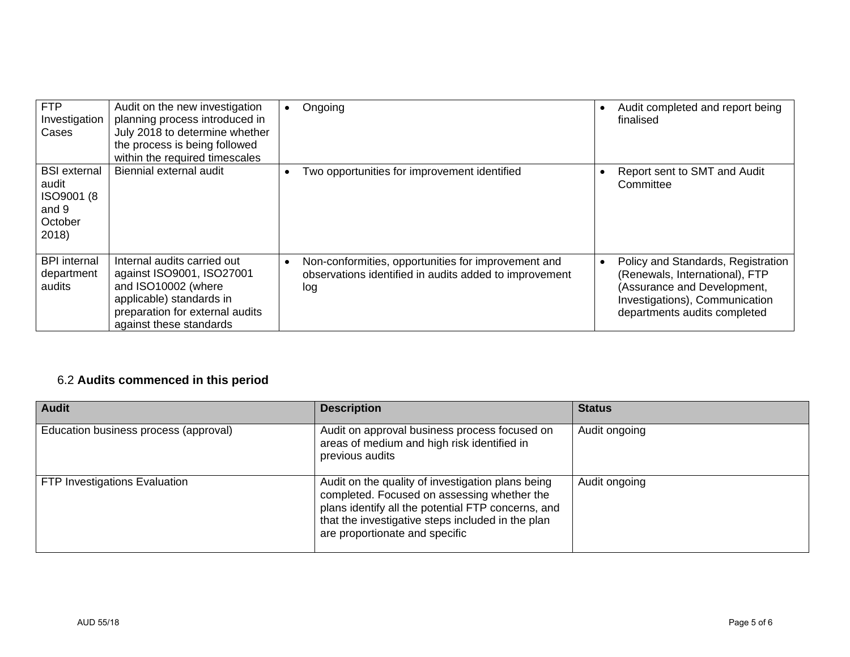| <b>FTP</b><br>Investigation<br>Cases                                    | Audit on the new investigation<br>planning process introduced in<br>July 2018 to determine whether<br>the process is being followed<br>within the required timescales     | Ongoing                                                                                                              | Audit completed and report being<br>finalised                                                                                                                         |
|-------------------------------------------------------------------------|---------------------------------------------------------------------------------------------------------------------------------------------------------------------------|----------------------------------------------------------------------------------------------------------------------|-----------------------------------------------------------------------------------------------------------------------------------------------------------------------|
| <b>BSI</b> external<br>audit<br>ISO9001 (8<br>and 9<br>October<br>2018) | Biennial external audit                                                                                                                                                   | Two opportunities for improvement identified                                                                         | Report sent to SMT and Audit<br>Committee                                                                                                                             |
| <b>BPI</b> internal<br>department<br>audits                             | Internal audits carried out<br>against ISO9001, ISO27001<br>and ISO10002 (where<br>applicable) standards in<br>preparation for external audits<br>against these standards | Non-conformities, opportunities for improvement and<br>observations identified in audits added to improvement<br>log | Policy and Standards, Registration<br>(Renewals, International), FTP<br>(Assurance and Development,<br>Investigations), Communication<br>departments audits completed |

# 6.2 **Audits commenced in this period**

| <b>Audit</b>                          | <b>Description</b>                                                                                                                                                                                                                            | <b>Status</b> |
|---------------------------------------|-----------------------------------------------------------------------------------------------------------------------------------------------------------------------------------------------------------------------------------------------|---------------|
| Education business process (approval) | Audit on approval business process focused on<br>areas of medium and high risk identified in<br>previous audits                                                                                                                               | Audit ongoing |
| FTP Investigations Evaluation         | Audit on the quality of investigation plans being<br>completed. Focused on assessing whether the<br>plans identify all the potential FTP concerns, and<br>that the investigative steps included in the plan<br>are proportionate and specific | Audit ongoing |